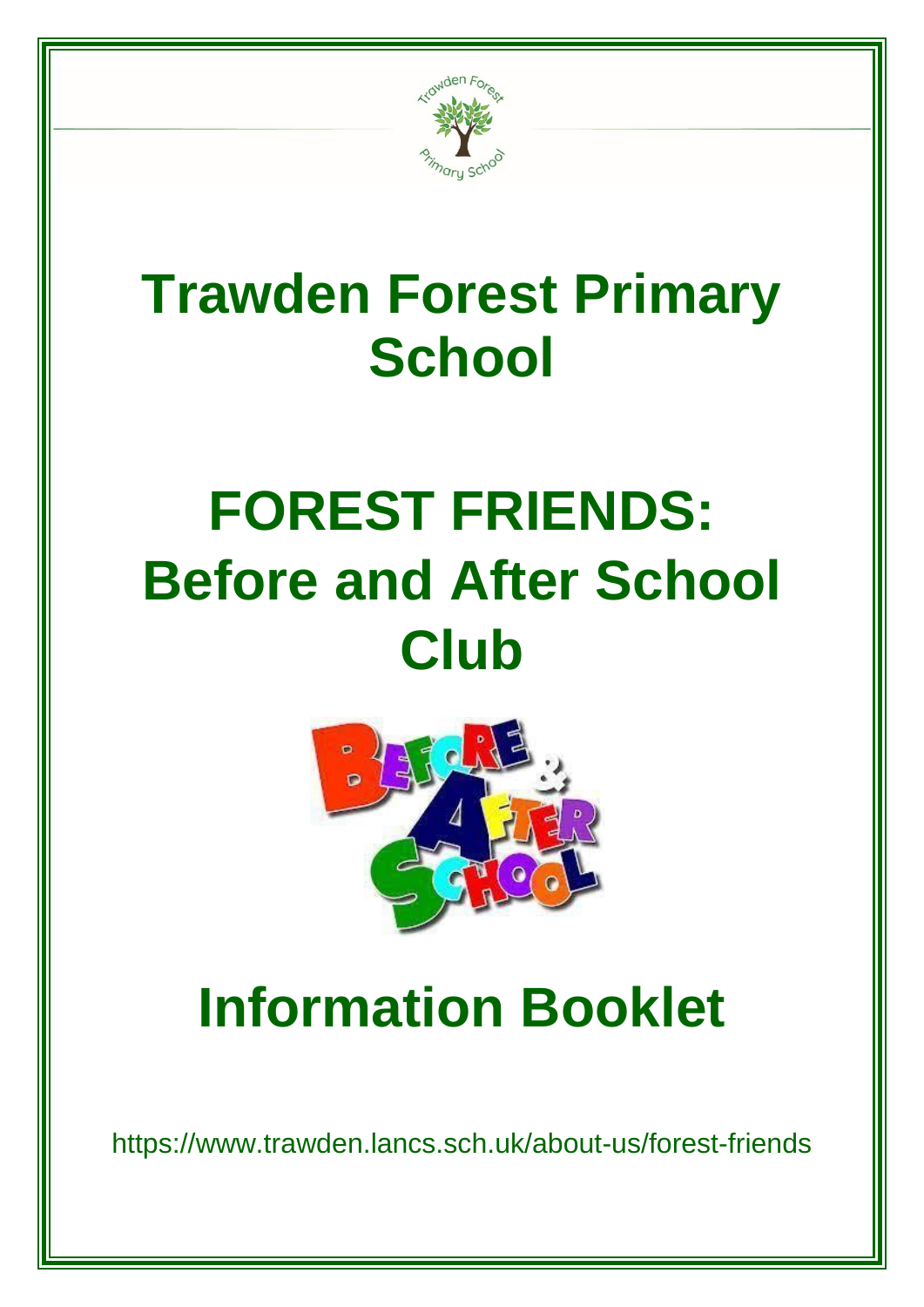

# **Trawden Forest Primary School**

# **FOREST FRIENDS: Before and After School Club**



# **Information Booklet**

https://www.trawden.lancs.sch.uk/about-us/forest-friends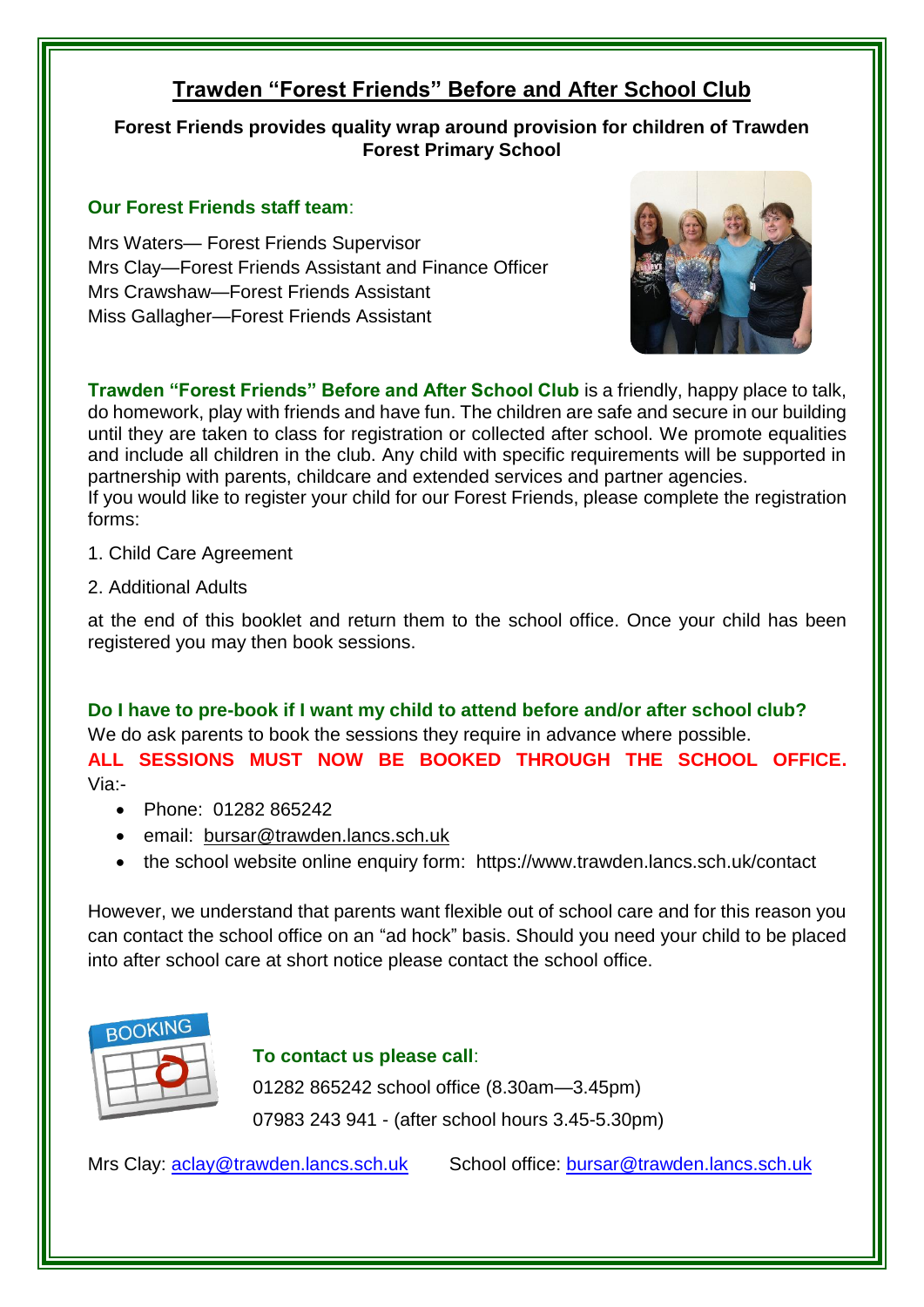### **Trawden "Forest Friends" Before and After School Club**

**Forest Friends provides quality wrap around provision for children of Trawden Forest Primary School**

#### **Our Forest Friends staff team**:

Mrs Waters— Forest Friends Supervisor Mrs Clay—Forest Friends Assistant and Finance Officer Mrs Crawshaw—Forest Friends Assistant Miss Gallagher—Forest Friends Assistant



**Trawden "Forest Friends" Before and After School Club** is a friendly, happy place to talk, do homework, play with friends and have fun. The children are safe and secure in our building until they are taken to class for registration or collected after school. We promote equalities and include all children in the club. Any child with specific requirements will be supported in partnership with parents, childcare and extended services and partner agencies. If you would like to register your child for our Forest Friends, please complete the registration forms:

- 1. Child Care Agreement
- 2. Additional Adults

at the end of this booklet and return them to the school office. Once your child has been registered you may then book sessions.

**Do I have to pre-book if I want my child to attend before and/or after school club?** We do ask parents to book the sessions they require in advance where possible. **ALL SESSIONS MUST NOW BE BOOKED THROUGH THE SCHOOL OFFICE.** 

Via:-

- Phone: 01282 865242
- email: [bursar@trawden.lancs.sch.uk](mailto:bursar@trawden.lancs.sch.uk)
- the school website online enquiry form: https://www.trawden.lancs.sch.uk/contact

However, we understand that parents want flexible out of school care and for this reason you can contact the school office on an "ad hock" basis. Should you need your child to be placed into after school care at short notice please contact the school office.



**To contact us please call**:

01282 865242 school office (8.30am—3.45pm) 07983 243 941 - (after school hours 3.45-5.30pm)

Mrs Clay: [aclay@trawden.lancs.sch.uk](mailto:aclay@trawden.lancs.sch.uk) School office: [bursar@trawden.lancs.sch.uk](mailto:bursar@trawden.lancs.sch.uk)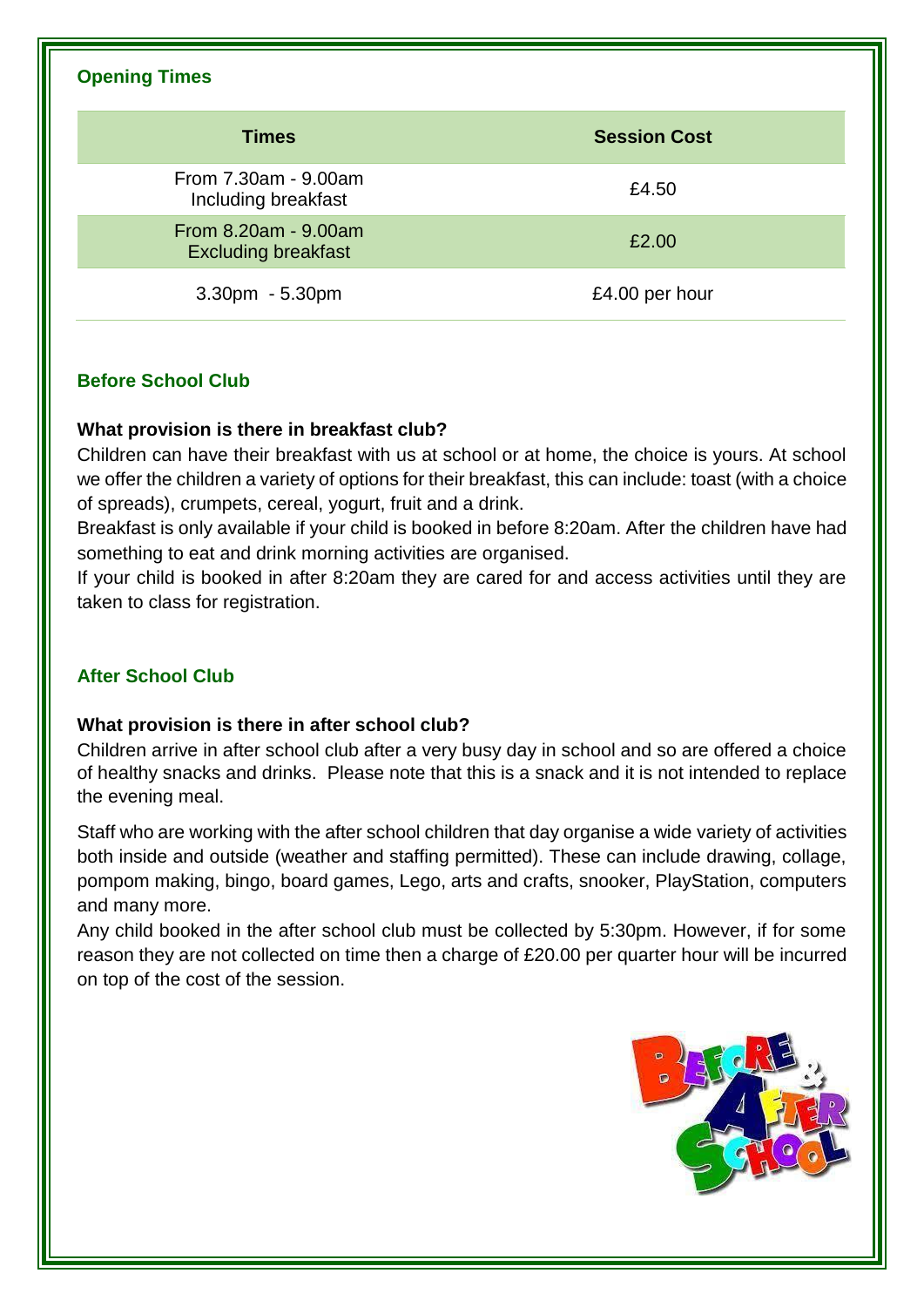#### **Opening Times**

| <b>Times</b>                                       | <b>Session Cost</b> |
|----------------------------------------------------|---------------------|
| From 7.30am - 9.00am<br>Including breakfast        | £4.50               |
| From 8.20am - 9.00am<br><b>Excluding breakfast</b> | £2.00               |
| 3.30pm - 5.30pm                                    | £4.00 per hour      |

#### **Before School Club**

#### **What provision is there in breakfast club?**

Children can have their breakfast with us at school or at home, the choice is yours. At school we offer the children a variety of options for their breakfast, this can include: toast (with a choice of spreads), crumpets, cereal, yogurt, fruit and a drink.

Breakfast is only available if your child is booked in before 8:20am. After the children have had something to eat and drink morning activities are organised.

If your child is booked in after 8:20am they are cared for and access activities until they are taken to class for registration.

#### **After School Club**

#### **What provision is there in after school club?**

Children arrive in after school club after a very busy day in school and so are offered a choice of healthy snacks and drinks. Please note that this is a snack and it is not intended to replace the evening meal.

Staff who are working with the after school children that day organise a wide variety of activities both inside and outside (weather and staffing permitted). These can include drawing, collage, pompom making, bingo, board games, Lego, arts and crafts, snooker, PlayStation, computers and many more.

Any child booked in the after school club must be collected by 5:30pm. However, if for some reason they are not collected on time then a charge of £20.00 per quarter hour will be incurred on top of the cost of the session.

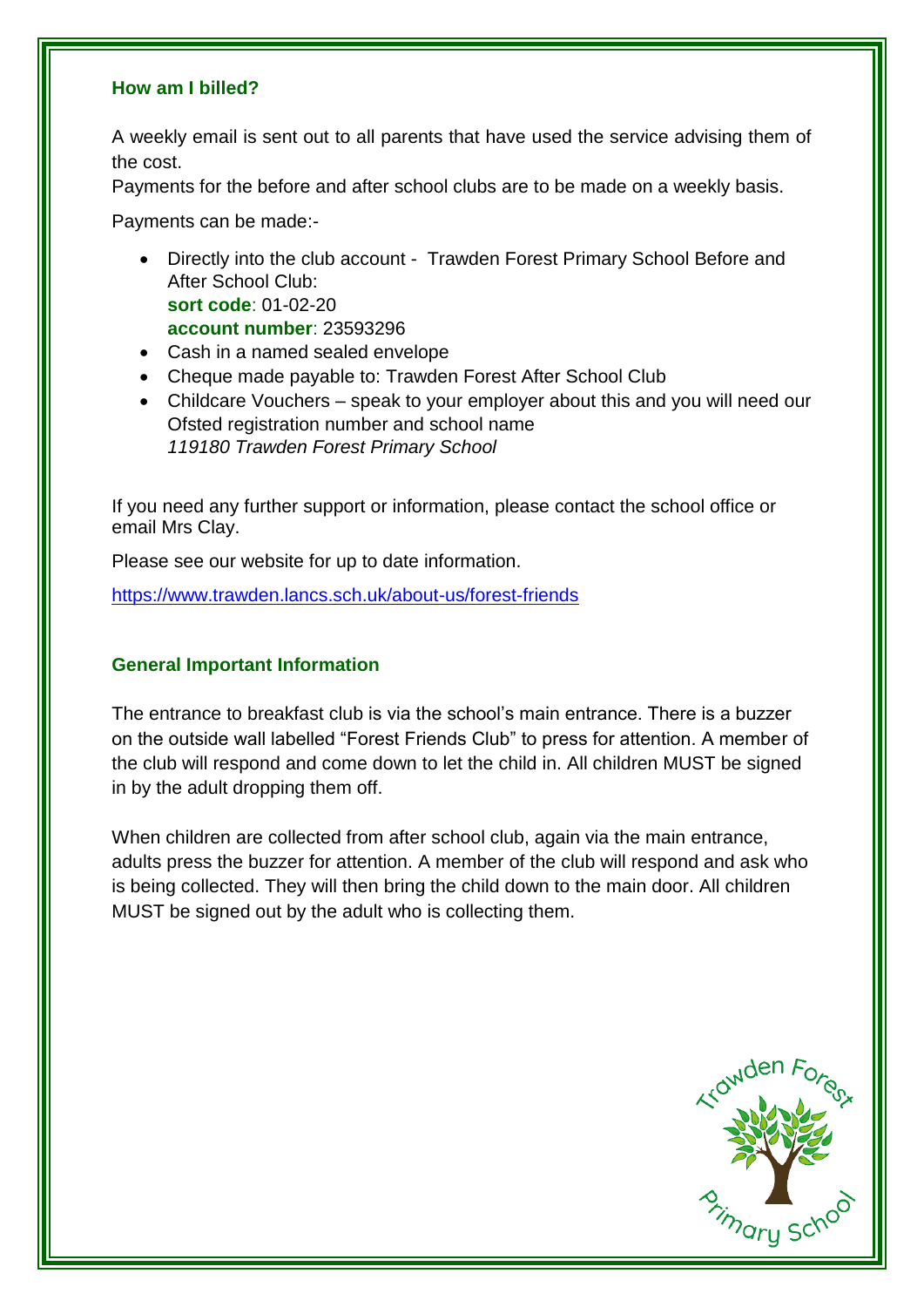#### **How am I billed?**

A weekly email is sent out to all parents that have used the service advising them of the cost.

Payments for the before and after school clubs are to be made on a weekly basis.

Payments can be made:-

- Directly into the club account Trawden Forest Primary School Before and After School Club: **sort code**: 01-02-20 **account number**: 23593296
- Cash in a named sealed envelope
- Cheque made payable to: Trawden Forest After School Club
- Childcare Vouchers speak to your employer about this and you will need our Ofsted registration number and school name *119180 Trawden Forest Primary School*

If you need any further support or information, please contact the school office or email Mrs Clay.

Please see our website for up to date information.

<https://www.trawden.lancs.sch.uk/about-us/forest-friends>

#### **General Important Information**

The entrance to breakfast club is via the school's main entrance. There is a buzzer on the outside wall labelled "Forest Friends Club" to press for attention. A member of the club will respond and come down to let the child in. All children MUST be signed in by the adult dropping them off.

When children are collected from after school club, again via the main entrance, adults press the buzzer for attention. A member of the club will respond and ask who is being collected. They will then bring the child down to the main door. All children MUST be signed out by the adult who is collecting them.

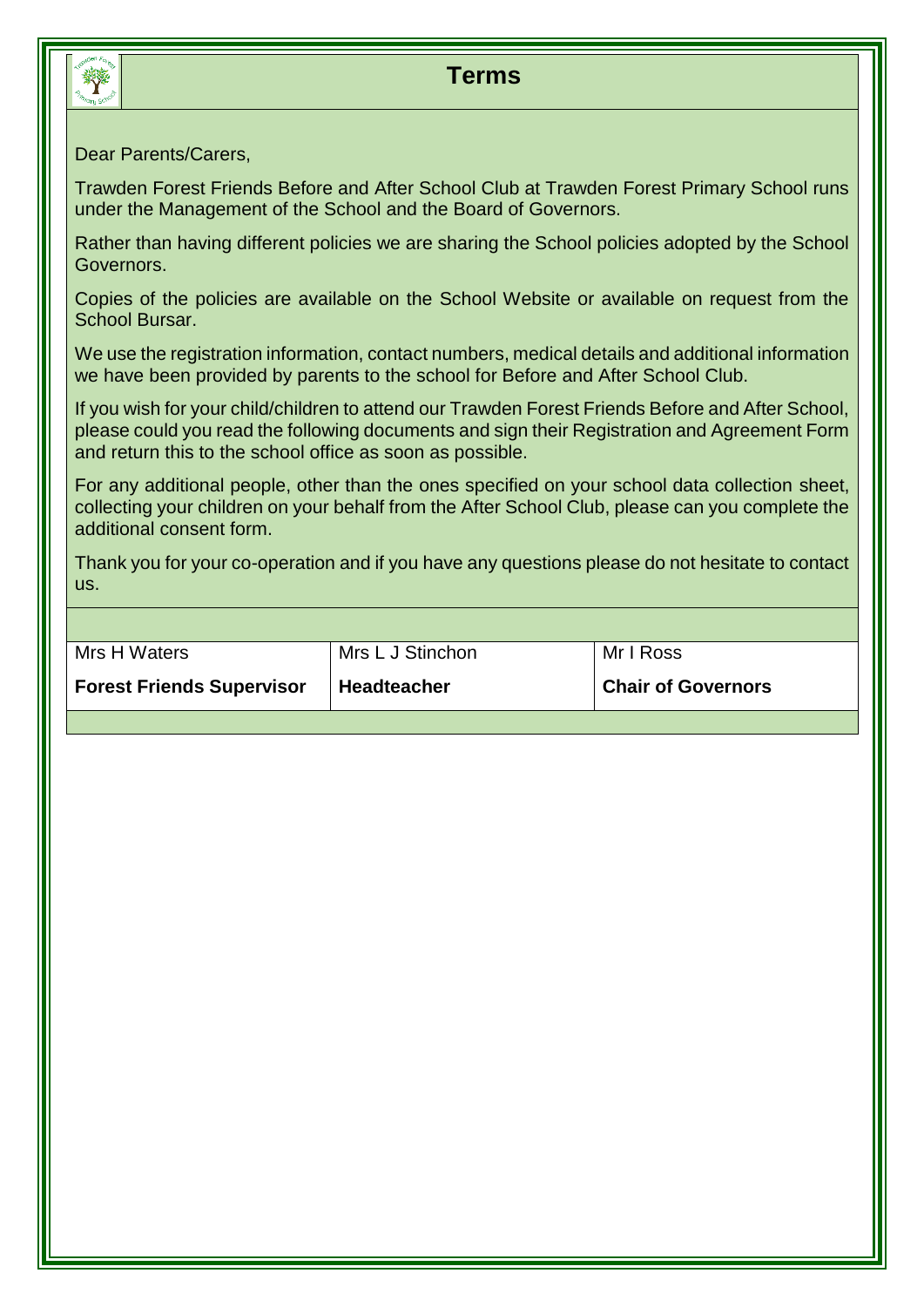

### **Terms**

#### Dear Parents/Carers,

Trawden Forest Friends Before and After School Club at Trawden Forest Primary School runs under the Management of the School and the Board of Governors.

Rather than having different policies we are sharing the School policies adopted by the School Governors.

Copies of the policies are available on the School Website or available on request from the School Bursar.

We use the registration information, contact numbers, medical details and additional information we have been provided by parents to the school for Before and After School Club.

If you wish for your child/children to attend our Trawden Forest Friends Before and After School, please could you read the following documents and sign their Registration and Agreement Form and return this to the school office as soon as possible.

For any additional people, other than the ones specified on your school data collection sheet, collecting your children on your behalf from the After School Club, please can you complete the additional consent form.

Thank you for your co-operation and if you have any questions please do not hesitate to contact us.

| Mrs H Waters                     | Mrs L J Stinchon   | Mr I Ross                 |
|----------------------------------|--------------------|---------------------------|
| <b>Forest Friends Supervisor</b> | <b>Headteacher</b> | <b>Chair of Governors</b> |
|                                  |                    |                           |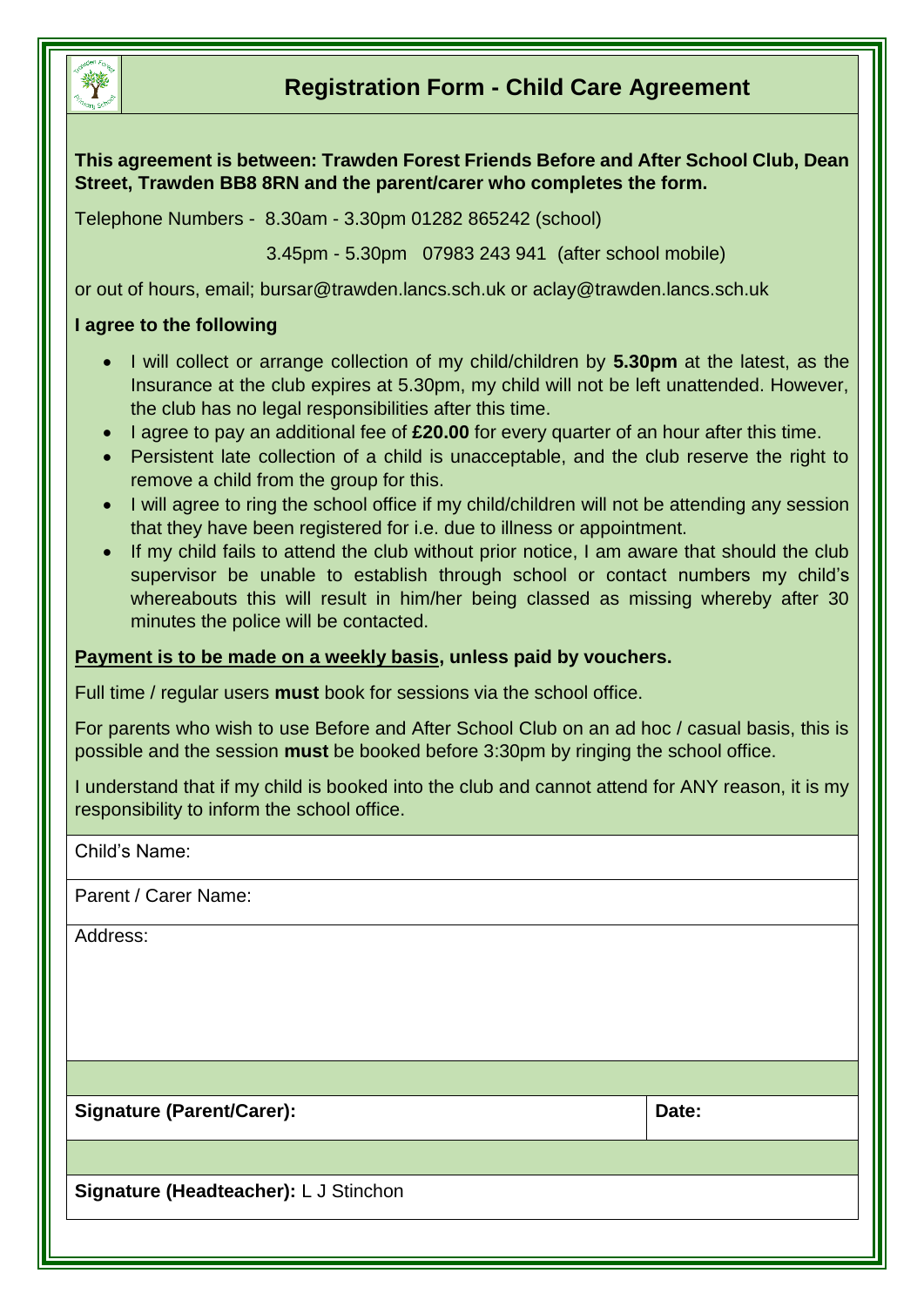

### **Registration Form - Child Care Agreement**

**This agreement is between: Trawden Forest Friends Before and After School Club, Dean Street, Trawden BB8 8RN and the parent/carer who completes the form.** 

Telephone Numbers - 8.30am - 3.30pm 01282 865242 (school)

3.45pm - 5.30pm 07983 243 941 (after school mobile)

or out of hours, email; [bursar@trawden.lancs.sch.uk](mailto:bursar@trawden.lancs.sch.uk) or aclay@trawden.lancs.sch.uk

#### **I agree to the following**

- I will collect or arrange collection of my child/children by **5.30pm** at the latest, as the Insurance at the club expires at 5.30pm, my child will not be left unattended. However, the club has no legal responsibilities after this time.
- I agree to pay an additional fee of **£20.00** for every quarter of an hour after this time.
- Persistent late collection of a child is unacceptable, and the club reserve the right to remove a child from the group for this.
- I will agree to ring the school office if my child/children will not be attending any session that they have been registered for i.e. due to illness or appointment.
- If my child fails to attend the club without prior notice, I am aware that should the club supervisor be unable to establish through school or contact numbers my child's whereabouts this will result in him/her being classed as missing whereby after 30 minutes the police will be contacted.

#### **Payment is to be made on a weekly basis, unless paid by vouchers.**

Full time / regular users **must** book for sessions via the school office.

For parents who wish to use Before and After School Club on an ad hoc / casual basis, this is possible and the session **must** be booked before 3:30pm by ringing the school office.

I understand that if my child is booked into the club and cannot attend for ANY reason, it is my responsibility to inform the school office.

Child's Name:

Parent / Carer Name:

Address:

Signature (Parent/Carer): **Date:**  $\vert$  Date:

**Signature (Headteacher):** L J Stinchon